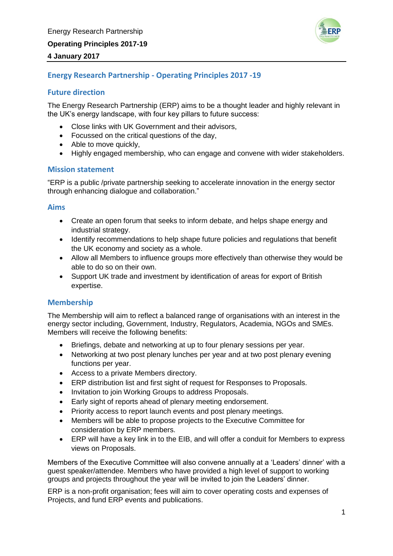

## **4 January 2017**

# **Energy Research Partnership - Operating Principles 2017 -19**

## **Future direction**

The Energy Research Partnership (ERP) aims to be a thought leader and highly relevant in the UK's energy landscape, with four key pillars to future success:

- Close links with UK Government and their advisors,
- Focussed on the critical questions of the day,
- Able to move quickly,
- Highly engaged membership, who can engage and convene with wider stakeholders.

## **Mission statement**

"ERP is a public /private partnership seeking to accelerate innovation in the energy sector through enhancing dialogue and collaboration."

### **Aims**

- Create an open forum that seeks to inform debate, and helps shape energy and industrial strategy.
- Identify recommendations to help shape future policies and regulations that benefit the UK economy and society as a whole.
- Allow all Members to influence groups more effectively than otherwise they would be able to do so on their own.
- Support UK trade and investment by identification of areas for export of British expertise.

### **Membership**

The Membership will aim to reflect a balanced range of organisations with an interest in the energy sector including, Government, Industry, Regulators, Academia, NGOs and SMEs. Members will receive the following benefits:

- Briefings, debate and networking at up to four plenary sessions per year.
- Networking at two post plenary lunches per year and at two post plenary evening functions per year.
- Access to a private Members directory.
- ERP distribution list and first sight of request for Responses to Proposals.
- Invitation to join Working Groups to address Proposals.
- Early sight of reports ahead of plenary meeting endorsement.
- Priority access to report launch events and post plenary meetings.
- Members will be able to propose projects to the Executive Committee for consideration by ERP members.
- ERP will have a key link in to the EIB, and will offer a conduit for Members to express views on Proposals.

Members of the Executive Committee will also convene annually at a 'Leaders' dinner' with a guest speaker/attendee. Members who have provided a high level of support to working groups and projects throughout the year will be invited to join the Leaders' dinner.

ERP is a non-profit organisation; fees will aim to cover operating costs and expenses of Projects, and fund ERP events and publications.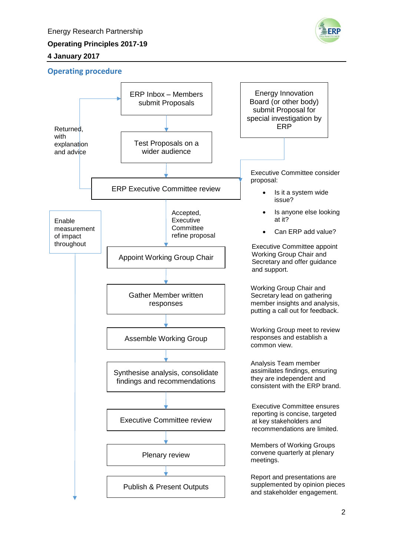# **4 January 2017**



# **Operating procedure**

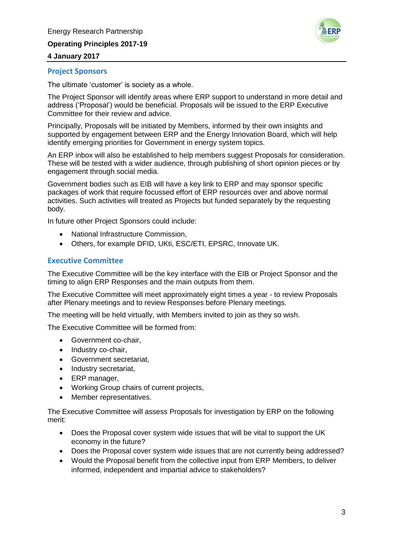**Operating Principles 2017-19**



### **4 January 2017**

### **Project Sponsors**

The ultimate 'customer' is society as a whole.

The Project Sponsor will identify areas where ERP support to understand in more detail and address ('Proposal') would be beneficial. Proposals will be issued to the ERP Executive Committee for their review and advice.

Principally, Proposals will be initiated by Members, informed by their own insights and supported by engagement between ERP and the Energy Innovation Board, which will help identify emerging priorities for Government in energy system topics.

An ERP inbox will also be established to help members suggest Proposals for consideration. These will be tested with a wider audience, through publishing of short opinion pieces or by engagement through social media.

Government bodies such as EIB will have a key link to ERP and may sponsor specific packages of work that require focussed effort of ERP resources over and above normal activities. Such activities will treated as Projects but funded separately by the requesting body.

In future other Project Sponsors could include:

- National Infrastructure Commission,
- Others, for example DFID, UKti, ESC/ETI, EPSRC, Innovate UK.

## **Executive Committee**

The Executive Committee will be the key interface with the EIB or Project Sponsor and the timing to align ERP Responses and the main outputs from them.

The Executive Committee will meet approximately eight times a year - to review Proposals after Plenary meetings and to review Responses before Plenary meetings.

The meeting will be held virtually, with Members invited to join as they so wish.

The Executive Committee will be formed from:

- Government co-chair,
- Industry co-chair,
- Government secretariat,
- Industry secretariat,
- ERP manager,
- Working Group chairs of current projects,
- Member representatives.

The Executive Committee will assess Proposals for investigation by ERP on the following merit:

- Does the Proposal cover system wide issues that will be vital to support the UK economy in the future?
- Does the Proposal cover system wide issues that are not currently being addressed?
- Would the Proposal benefit from the collective input from ERP Members, to deliver informed, independent and impartial advice to stakeholders?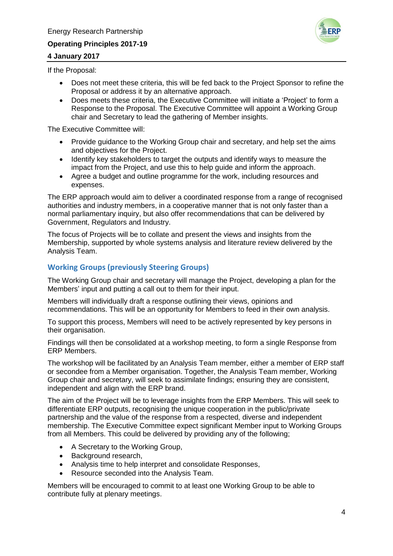# **Operating Principles 2017-19**



## **4 January 2017**

If the Proposal:

- Does not meet these criteria, this will be fed back to the Project Sponsor to refine the Proposal or address it by an alternative approach.
- Does meets these criteria, the Executive Committee will initiate a 'Project' to form a Response to the Proposal. The Executive Committee will appoint a Working Group chair and Secretary to lead the gathering of Member insights.

The Executive Committee will:

- Provide guidance to the Working Group chair and secretary, and help set the aims and objectives for the Project.
- Identify key stakeholders to target the outputs and identify ways to measure the impact from the Project, and use this to help guide and inform the approach.
- Agree a budget and outline programme for the work, including resources and expenses.

The ERP approach would aim to deliver a coordinated response from a range of recognised authorities and industry members, in a cooperative manner that is not only faster than a normal parliamentary inquiry, but also offer recommendations that can be delivered by Government, Regulators and Industry.

The focus of Projects will be to collate and present the views and insights from the Membership, supported by whole systems analysis and literature review delivered by the Analysis Team.

# **Working Groups (previously Steering Groups)**

The Working Group chair and secretary will manage the Project, developing a plan for the Members' input and putting a call out to them for their input.

Members will individually draft a response outlining their views, opinions and recommendations. This will be an opportunity for Members to feed in their own analysis.

To support this process, Members will need to be actively represented by key persons in their organisation.

Findings will then be consolidated at a workshop meeting, to form a single Response from ERP Members.

The workshop will be facilitated by an Analysis Team member, either a member of ERP staff or secondee from a Member organisation. Together, the Analysis Team member, Working Group chair and secretary, will seek to assimilate findings; ensuring they are consistent, independent and align with the ERP brand.

The aim of the Project will be to leverage insights from the ERP Members. This will seek to differentiate ERP outputs, recognising the unique cooperation in the public/private partnership and the value of the response from a respected, diverse and independent membership. The Executive Committee expect significant Member input to Working Groups from all Members. This could be delivered by providing any of the following;

- A Secretary to the Working Group,
- Background research,
- Analysis time to help interpret and consolidate Responses,
- Resource seconded into the Analysis Team.

Members will be encouraged to commit to at least one Working Group to be able to contribute fully at plenary meetings.